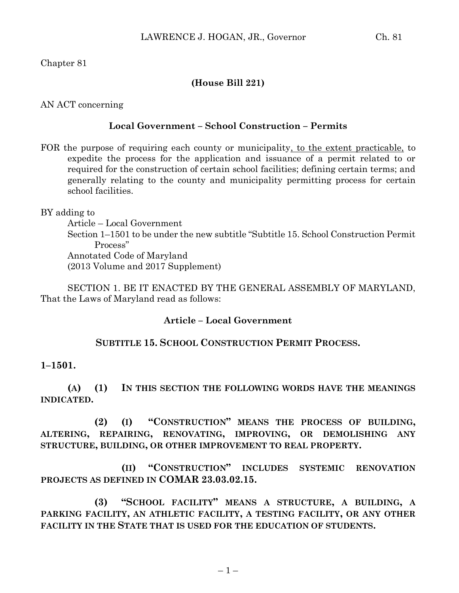Chapter 81

### **(House Bill 221)**

AN ACT concerning

### **Local Government – School Construction – Permits**

FOR the purpose of requiring each county or municipality, to the extent practicable, to expedite the process for the application and issuance of a permit related to or required for the construction of certain school facilities; defining certain terms; and generally relating to the county and municipality permitting process for certain school facilities.

BY adding to

Article – Local Government Section 1–1501 to be under the new subtitle "Subtitle 15. School Construction Permit Process" Annotated Code of Maryland (2013 Volume and 2017 Supplement)

SECTION 1. BE IT ENACTED BY THE GENERAL ASSEMBLY OF MARYLAND, That the Laws of Maryland read as follows:

#### **Article – Local Government**

## **SUBTITLE 15. SCHOOL CONSTRUCTION PERMIT PROCESS.**

#### **1–1501.**

**(A) (1) IN THIS SECTION THE FOLLOWING WORDS HAVE THE MEANINGS INDICATED.**

**(2) (I) "CONSTRUCTION" MEANS THE PROCESS OF BUILDING, ALTERING, REPAIRING, RENOVATING, IMPROVING, OR DEMOLISHING ANY STRUCTURE, BUILDING, OR OTHER IMPROVEMENT TO REAL PROPERTY.**

**(II) "CONSTRUCTION" INCLUDES SYSTEMIC RENOVATION PROJECTS AS DEFINED IN COMAR 23.03.02.15.**

**(3) "SCHOOL FACILITY" MEANS A STRUCTURE, A BUILDING, A PARKING FACILITY, AN ATHLETIC FACILITY, A TESTING FACILITY, OR ANY OTHER FACILITY IN THE STATE THAT IS USED FOR THE EDUCATION OF STUDENTS.**